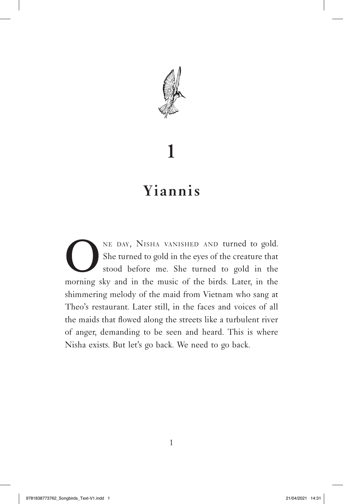

# **1**

## **Yiannis**

NE DAY, NISHA VANISHED AND turned to gold.<br>She turned to gold in the eyes of the creature that<br>stood before me. She turned to gold in the She turned to gold in the eyes of the creature that stood before me. She turned to gold in the morning sky and in the music of the birds. Later, in the shimmering melody of the maid from Vietnam who sang at Theo's restaurant. Later still, in the faces and voices of all the maids that flowed along the streets like a turbulent river of anger, demanding to be seen and heard. This is where Nisha exists. But let's go back. We need to go back.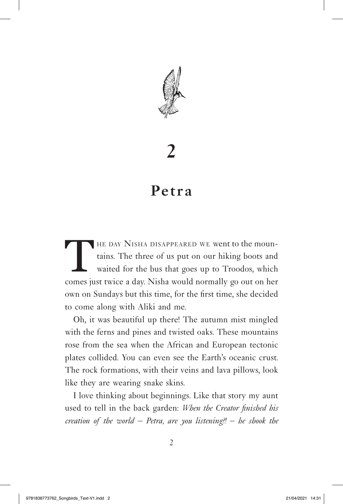

**2**

#### **Petra**

THE DAY NISHA DISAPPEARED WE went to the moun-<br>tains. The three of us put on our hiking boots and<br>waited for the bus that goes up to Troodos, which tains. The three of us put on our hiking boots and waited for the bus that goes up to Troodos, which comes just twice a day. Nisha would normally go out on her own on Sundays but this time, for the first time, she decided to come along with Aliki and me.

Oh, it was beautiful up there! The autumn mist mingled with the ferns and pines and twisted oaks. These mountains rose from the sea when the African and European tectonic plates collided. You can even see the Earth's oceanic crust. The rock formations, with their veins and lava pillows, look like they are wearing snake skins.

I love thinking about beginnings. Like that story my aunt used to tell in the back garden: *When the Creator finished his creation of the world – Petra, are you listening?! – he shook the*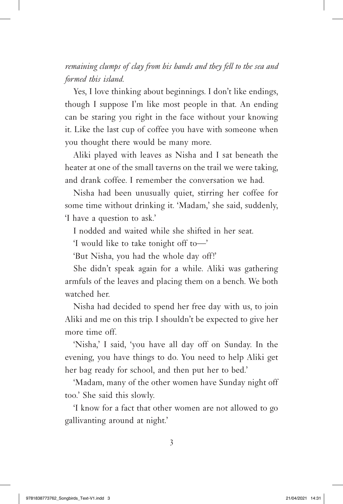*remaining clumps of clay from his hands and they fell to the sea and formed this island*.

Yes, I love thinking about beginnings. I don't like endings, though I suppose I'm like most people in that. An ending can be staring you right in the face without your knowing it. Like the last cup of coffee you have with someone when you thought there would be many more.

Aliki played with leaves as Nisha and I sat beneath the heater at one of the small taverns on the trail we were taking, and drank coffee. I remember the conversation we had.

Nisha had been unusually quiet, stirring her coffee for some time without drinking it. 'Madam,' she said, suddenly, 'I have a question to ask.'

I nodded and waited while she shifted in her seat.

'I would like to take tonight off to—'

'But Nisha, you had the whole day off!'

She didn't speak again for a while. Aliki was gathering armfuls of the leaves and placing them on a bench. We both watched her.

Nisha had decided to spend her free day with us, to join Aliki and me on this trip. I shouldn't be expected to give her more time off.

'Nisha,' I said, 'you have all day off on Sunday. In the evening, you have things to do. You need to help Aliki get her bag ready for school, and then put her to bed.'

'Madam, many of the other women have Sunday night off too.' She said this slowly.

'I know for a fact that other women are not allowed to go gallivanting around at night.'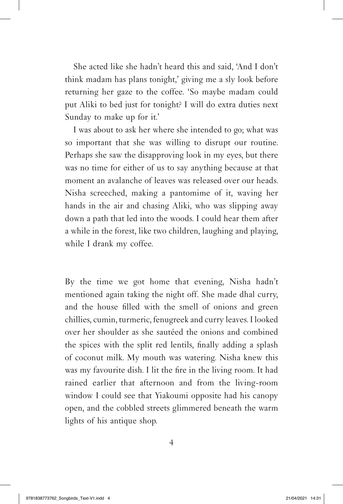She acted like she hadn't heard this and said, 'And I don't think madam has plans tonight,' giving me a sly look before returning her gaze to the coffee. 'So maybe madam could put Aliki to bed just for tonight? I will do extra duties next Sunday to make up for it.'

I was about to ask her where she intended to go; what was so important that she was willing to disrupt our routine. Perhaps she saw the disapproving look in my eyes, but there was no time for either of us to say anything because at that moment an avalanche of leaves was released over our heads. Nisha screeched, making a pantomime of it, waving her hands in the air and chasing Aliki, who was slipping away down a path that led into the woods. I could hear them after a while in the forest, like two children, laughing and playing, while I drank my coffee.

By the time we got home that evening, Nisha hadn't mentioned again taking the night off. She made dhal curry, and the house filled with the smell of onions and green chillies, cumin, turmeric, fenugreek and curry leaves. I looked over her shoulder as she sautéed the onions and combined the spices with the split red lentils, finally adding a splash of coconut milk. My mouth was watering. Nisha knew this was my favourite dish. I lit the fire in the living room. It had rained earlier that afternoon and from the living-room window I could see that Yiakoumi opposite had his canopy open, and the cobbled streets glimmered beneath the warm lights of his antique shop.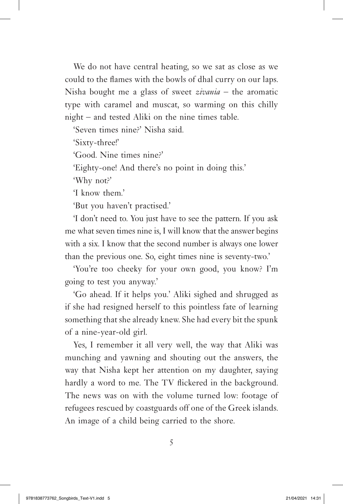We do not have central heating, so we sat as close as we could to the flames with the bowls of dhal curry on our laps. Nisha bought me a glass of sweet *zivania* – the aromatic type with caramel and muscat, so warming on this chilly night – and tested Aliki on the nine times table.

'Seven times nine?' Nisha said.

'Sixty-three!'

'Good. Nine times nine?'

'Eighty-one! And there's no point in doing this.'

'Why not?'

'I know them.'

'But you haven't practised.'

'I don't need to. You just have to see the pattern. If you ask me what seven times nine is, I will know that the answer begins with a six. I know that the second number is always one lower than the previous one. So, eight times nine is seventy-two.'

'You're too cheeky for your own good, you know? I'm going to test you anyway.'

'Go ahead. If it helps you.' Aliki sighed and shrugged as if she had resigned herself to this pointless fate of learning something that she already knew. She had every bit the spunk of a nine-year-old girl.

Yes, I remember it all very well, the way that Aliki was munching and yawning and shouting out the answers, the way that Nisha kept her attention on my daughter, saying hardly a word to me. The TV flickered in the background. The news was on with the volume turned low: footage of refugees rescued by coastguards off one of the Greek islands. An image of a child being carried to the shore.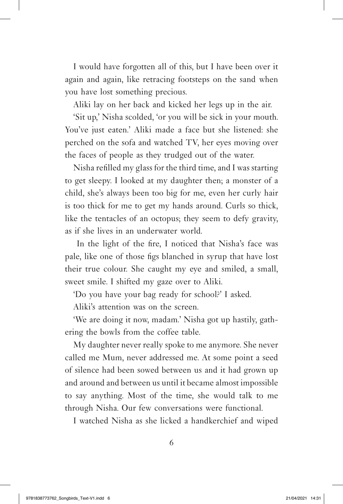I would have forgotten all of this, but I have been over it again and again, like retracing footsteps on the sand when you have lost something precious.

Aliki lay on her back and kicked her legs up in the air.

'Sit up,' Nisha scolded, 'or you will be sick in your mouth. You've just eaten.' Aliki made a face but she listened: she perched on the sofa and watched TV, her eyes moving over the faces of people as they trudged out of the water.

Nisha refilled my glass for the third time, and I was starting to get sleepy. I looked at my daughter then; a monster of a child, she's always been too big for me, even her curly hair is too thick for me to get my hands around. Curls so thick, like the tentacles of an octopus; they seem to defy gravity, as if she lives in an underwater world.

 In the light of the fire, I noticed that Nisha's face was pale, like one of those figs blanched in syrup that have lost their true colour. She caught my eye and smiled, a small, sweet smile. I shifted my gaze over to Aliki.

'Do you have your bag ready for school?' I asked.

Aliki's attention was on the screen.

'We are doing it now, madam.' Nisha got up hastily, gathering the bowls from the coffee table.

My daughter never really spoke to me anymore. She never called me Mum, never addressed me. At some point a seed of silence had been sowed between us and it had grown up and around and between us until it became almost impossible to say anything. Most of the time, she would talk to me through Nisha. Our few conversations were functional.

I watched Nisha as she licked a handkerchief and wiped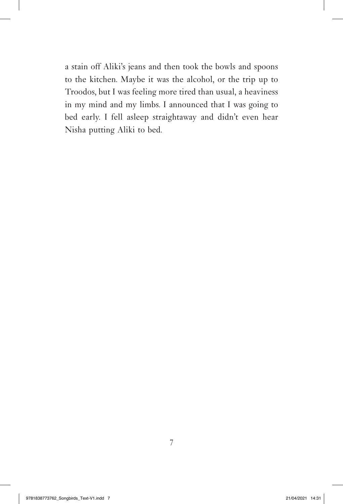a stain off Aliki's jeans and then took the bowls and spoons to the kitchen. Maybe it was the alcohol, or the trip up to Troodos, but I was feeling more tired than usual, a heaviness in my mind and my limbs. I announced that I was going to bed early. I fell asleep straightaway and didn't even hear Nisha putting Aliki to bed.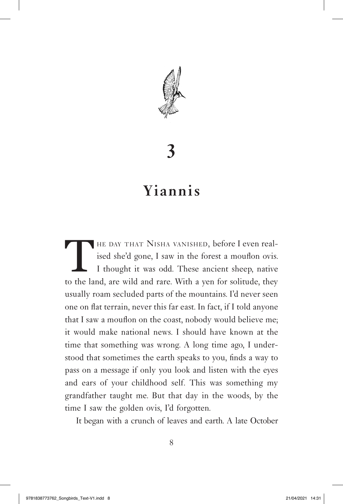

**3**

## **Yiannis**

THE DAY THAT NISHA VANISHED, before I even real-<br>ised she'd gone, I saw in the forest a mouflon ovis.<br>I thought it was odd. These ancient sheep, native ised she'd gone, I saw in the forest a mouflon ovis. I thought it was odd. These ancient sheep, native to the land, are wild and rare. With a yen for solitude, they usually roam secluded parts of the mountains. I'd never seen one on flat terrain, never this far east. In fact, if I told anyone that I saw a mouflon on the coast, nobody would believe me; it would make national news. I should have known at the time that something was wrong. A long time ago, I understood that sometimes the earth speaks to you, finds a way to pass on a message if only you look and listen with the eyes and ears of your childhood self. This was something my grandfather taught me. But that day in the woods, by the time I saw the golden ovis, I'd forgotten.

It began with a crunch of leaves and earth. A late October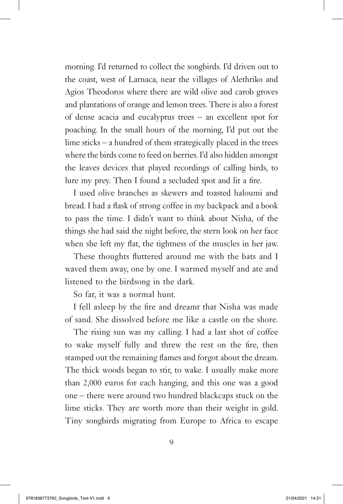morning. I'd returned to collect the songbirds. I'd driven out to the coast, west of Larnaca, near the villages of Alethriko and Agios Theodoros where there are wild olive and carob groves and plantations of orange and lemon trees. There is also a forest of dense acacia and eucalyptus trees – an excellent spot for poaching. In the small hours of the morning, I'd put out the lime sticks – a hundred of them strategically placed in the trees where the birds come to feed on berries. I'd also hidden amongst the leaves devices that played recordings of calling birds, to lure my prey. Then I found a secluded spot and lit a fire.

I used olive branches as skewers and toasted haloumi and bread. I had a flask of strong coffee in my backpack and a book to pass the time. I didn't want to think about Nisha, of the things she had said the night before, the stern look on her face when she left my flat, the tightness of the muscles in her jaw.

These thoughts fluttered around me with the bats and I waved them away, one by one. I warmed myself and ate and listened to the birdsong in the dark.

So far, it was a normal hunt.

I fell asleep by the fire and dreamt that Nisha was made of sand. She dissolved before me like a castle on the shore.

The rising sun was my calling. I had a last shot of coffee to wake myself fully and threw the rest on the fire, then stamped out the remaining flames and forgot about the dream. The thick woods began to stir, to wake. I usually make more than 2,000 euros for each hanging, and this one was a good one – there were around two hundred blackcaps stuck on the lime sticks. They are worth more than their weight in gold. Tiny songbirds migrating from Europe to Africa to escape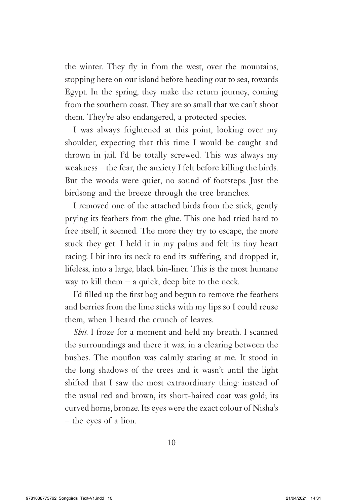the winter. They fly in from the west, over the mountains, stopping here on our island before heading out to sea, towards Egypt. In the spring, they make the return journey, coming from the southern coast. They are so small that we can't shoot them. They're also endangered, a protected species.

I was always frightened at this point, looking over my shoulder, expecting that this time I would be caught and thrown in jail. I'd be totally screwed. This was always my weakness – the fear, the anxiety I felt before killing the birds. But the woods were quiet, no sound of footsteps. Just the birdsong and the breeze through the tree branches.

I removed one of the attached birds from the stick, gently prying its feathers from the glue. This one had tried hard to free itself, it seemed. The more they try to escape, the more stuck they get. I held it in my palms and felt its tiny heart racing. I bit into its neck to end its suffering, and dropped it, lifeless, into a large, black bin-liner. This is the most humane way to kill them  $-$  a quick, deep bite to the neck.

I'd filled up the first bag and begun to remove the feathers and berries from the lime sticks with my lips so I could reuse them, when I heard the crunch of leaves.

*Shit.* I froze for a moment and held my breath. I scanned the surroundings and there it was, in a clearing between the bushes. The mouflon was calmly staring at me. It stood in the long shadows of the trees and it wasn't until the light shifted that I saw the most extraordinary thing: instead of the usual red and brown, its short-haired coat was gold; its curved horns, bronze. Its eyes were the exact colour of Nisha's – the eyes of a lion.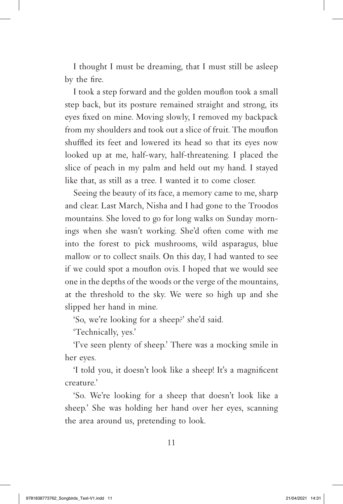I thought I must be dreaming, that I must still be asleep by the fire.

I took a step forward and the golden mouflon took a small step back, but its posture remained straight and strong, its eyes fixed on mine. Moving slowly, I removed my backpack from my shoulders and took out a slice of fruit. The mouflon shuffled its feet and lowered its head so that its eyes now looked up at me, half-wary, half-threatening. I placed the slice of peach in my palm and held out my hand. I stayed like that, as still as a tree. I wanted it to come closer.

Seeing the beauty of its face, a memory came to me, sharp and clear. Last March, Nisha and I had gone to the Troodos mountains. She loved to go for long walks on Sunday mornings when she wasn't working. She'd often come with me into the forest to pick mushrooms, wild asparagus, blue mallow or to collect snails. On this day, I had wanted to see if we could spot a mouflon ovis. I hoped that we would see one in the depths of the woods or the verge of the mountains, at the threshold to the sky. We were so high up and she slipped her hand in mine.

'So, we're looking for a sheep?' she'd said.

'Technically, yes.'

'I've seen plenty of sheep.' There was a mocking smile in her eyes.

'I told you, it doesn't look like a sheep! It's a magnificent creature.'

'So. We're looking for a sheep that doesn't look like a sheep.' She was holding her hand over her eyes, scanning the area around us, pretending to look.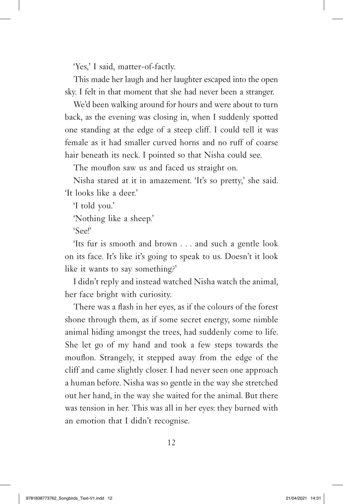'Yes,' I said, matter-of-factly.

This made her laugh and her laughter escaped into the open sky. I felt in that moment that she had never been a stranger.

We'd been walking around for hours and were about to turn back, as the evening was closing in, when I suddenly spotted one standing at the edge of a steep cliff. I could tell it was female as it had smaller curved horns and no ruff of coarse hair beneath its neck. I pointed so that Nisha could see.

The mouflon saw us and faced us straight on.

Nisha stared at it in amazement. 'It's so pretty,' she said. 'It looks like a deer.'

'I told you.'

'Nothing like a sheep.'

'See!'

'Its fur is smooth and brown . . . and such a gentle look on its face. It's like it's going to speak to us. Doesn't it look like it wants to say something?'

I didn't reply and instead watched Nisha watch the animal, her face bright with curiosity.

There was a flash in her eyes, as if the colours of the forest shone through them, as if some secret energy, some nimble animal hiding amongst the trees, had suddenly come to life. She let go of my hand and took a few steps towards the mouflon. Strangely, it stepped away from the edge of the cliff and came slightly closer. I had never seen one approach a human before. Nisha was so gentle in the way she stretched out her hand, in the way she waited for the animal. But there was tension in her. This was all in her eyes: they burned with an emotion that I didn't recognise.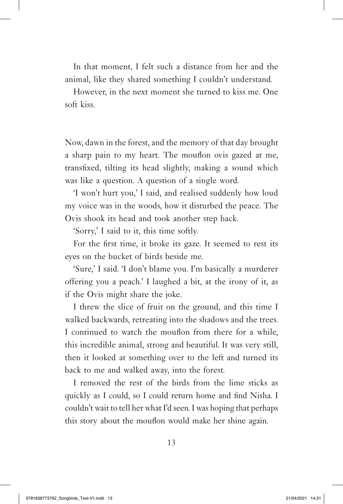In that moment, I felt such a distance from her and the animal, like they shared something I couldn't understand.

However, in the next moment she turned to kiss me. One soft kiss.

Now, dawn in the forest, and the memory of that day brought a sharp pain to my heart. The mouflon ovis gazed at me, transfixed, tilting its head slightly, making a sound which was like a question. A question of a single word.

'I won't hurt you,' I said, and realised suddenly how loud my voice was in the woods, how it disturbed the peace. The Ovis shook its head and took another step back.

'Sorry,' I said to it, this time softly.

For the first time, it broke its gaze. It seemed to rest its eyes on the bucket of birds beside me.

'Sure,' I said. 'I don't blame you. I'm basically a murderer offering you a peach.' I laughed a bit, at the irony of it, as if the Ovis might share the joke.

I threw the slice of fruit on the ground, and this time I walked backwards, retreating into the shadows and the trees. I continued to watch the mouflon from there for a while, this incredible animal, strong and beautiful. It was very still, then it looked at something over to the left and turned its back to me and walked away, into the forest.

I removed the rest of the birds from the lime sticks as quickly as I could, so I could return home and find Nisha. I couldn't wait to tell her what I'd seen. I was hoping that perhaps this story about the mouflon would make her shine again.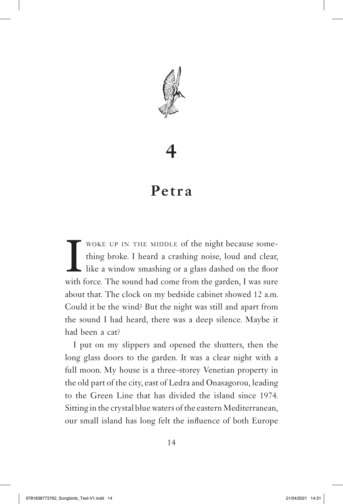

**4**

#### **Petra**

WOKE UP IN THE MIDDLE of the night because some-<br>thing broke. I heard a crashing noise, loud and clear,<br>like a window smashing or a glass dashed on the floor thing broke. I heard a crashing noise, loud and clear, like a window smashing or a glass dashed on the floor with force. The sound had come from the garden, I was sure about that. The clock on my bedside cabinet showed 12 a.m. Could it be the wind? But the night was still and apart from the sound I had heard, there was a deep silence. Maybe it had been a cat?

I put on my slippers and opened the shutters, then the long glass doors to the garden. It was a clear night with a full moon. My house is a three-storey Venetian property in the old part of the city, east of Ledra and Onasagorou, leading to the Green Line that has divided the island since 1974. Sitting in the crystal blue waters of the eastern Mediterranean, our small island has long felt the influence of both Europe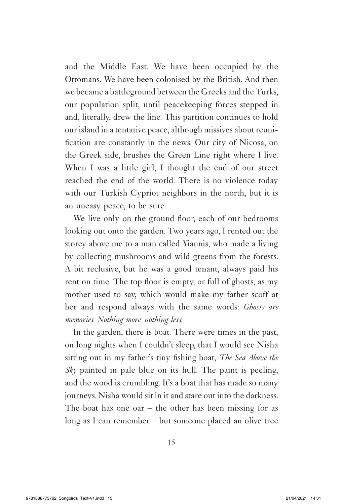and the Middle East. We have been occupied by the Ottomans. We have been colonised by the British. And then we became a battleground between the Greeks and the Turks, our population split, until peacekeeping forces stepped in and, literally, drew the line. This partition continues to hold our island in a tentative peace, although missives about reunification are constantly in the news. Our city of Nicosa, on the Greek side, brushes the Green Line right where I live. When I was a little girl, I thought the end of our street reached the end of the world. There is no violence today with our Turkish Cypriot neighbors in the north, but it is an uneasy peace, to be sure.

We live only on the ground floor, each of our bedrooms looking out onto the garden. Two years ago, I rented out the storey above me to a man called Yiannis, who made a living by collecting mushrooms and wild greens from the forests. A bit reclusive, but he was a good tenant, always paid his rent on time. The top floor is empty, or full of ghosts, as my mother used to say, which would make my father scoff at her and respond always with the same words: *Ghosts are memories. Nothing more, nothing less.* 

In the garden, there is boat. There were times in the past, on long nights when I couldn't sleep, that I would see Nisha sitting out in my father's tiny fishing boat, *The Sea Above the Sky* painted in pale blue on its hull. The paint is peeling, and the wood is crumbling. It's a boat that has made so many journeys. Nisha would sit in it and stare out into the darkness. The boat has one oar  $-$  the other has been missing for as long as I can remember – but someone placed an olive tree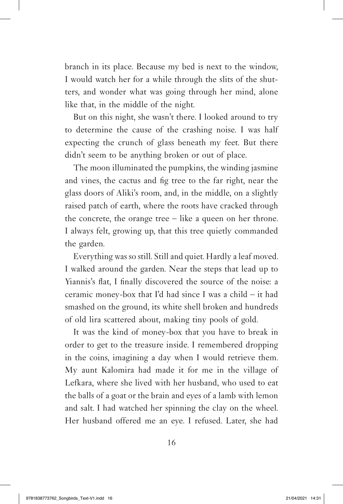branch in its place. Because my bed is next to the window, I would watch her for a while through the slits of the shutters, and wonder what was going through her mind, alone like that, in the middle of the night.

But on this night, she wasn't there. I looked around to try to determine the cause of the crashing noise. I was half expecting the crunch of glass beneath my feet. But there didn't seem to be anything broken or out of place.

The moon illuminated the pumpkins, the winding jasmine and vines, the cactus and fig tree to the far right, near the glass doors of Aliki's room, and, in the middle, on a slightly raised patch of earth, where the roots have cracked through the concrete, the orange tree  $-$  like a queen on her throne. I always felt, growing up, that this tree quietly commanded the garden.

Everything was so still. Still and quiet. Hardly a leaf moved. I walked around the garden. Near the steps that lead up to Yiannis's flat, I finally discovered the source of the noise: a ceramic money-box that I'd had since I was a child – it had smashed on the ground, its white shell broken and hundreds of old lira scattered about, making tiny pools of gold.

It was the kind of money-box that you have to break in order to get to the treasure inside. I remembered dropping in the coins, imagining a day when I would retrieve them. My aunt Kalomira had made it for me in the village of Lefkara, where she lived with her husband, who used to eat the balls of a goat or the brain and eyes of a lamb with lemon and salt. I had watched her spinning the clay on the wheel. Her husband offered me an eye. I refused. Later, she had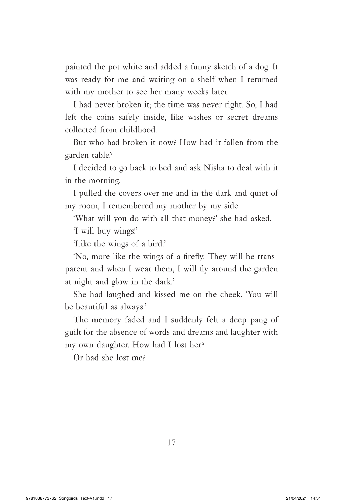painted the pot white and added a funny sketch of a dog. It was ready for me and waiting on a shelf when I returned with my mother to see her many weeks later.

I had never broken it; the time was never right. So, I had left the coins safely inside, like wishes or secret dreams collected from childhood.

But who had broken it now? How had it fallen from the garden table?

I decided to go back to bed and ask Nisha to deal with it in the morning.

I pulled the covers over me and in the dark and quiet of my room, I remembered my mother by my side.

'What will you do with all that money?' she had asked.

'I will buy wings!'

'Like the wings of a bird.'

'No, more like the wings of a firefly. They will be transparent and when I wear them, I will fly around the garden at night and glow in the dark.'

She had laughed and kissed me on the cheek. 'You will be beautiful as always.'

The memory faded and I suddenly felt a deep pang of guilt for the absence of words and dreams and laughter with my own daughter. How had I lost her?

Or had she lost me?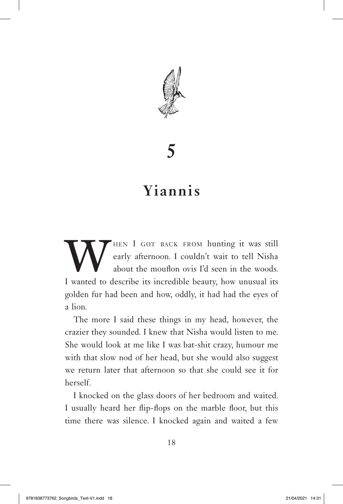

**5**

## **Yiannis**

WHEN I GOT BACK FROM hunting it was still<br>early afternoon. I couldn't wait to tell Nisha<br>about the mouflon ovis I'd seen in the woods. early afternoon. I couldn't wait to tell Nisha about the mouflon ovis I'd seen in the woods. I wanted to describe its incredible beauty, how unusual its golden fur had been and how, oddly, it had had the eyes of a lion.

The more I said these things in my head, however, the crazier they sounded. I knew that Nisha would listen to me. She would look at me like I was bat-shit crazy, humour me with that slow nod of her head, but she would also suggest we return later that afternoon so that she could see it for herself.

I knocked on the glass doors of her bedroom and waited. I usually heard her flip-flops on the marble floor, but this time there was silence. I knocked again and waited a few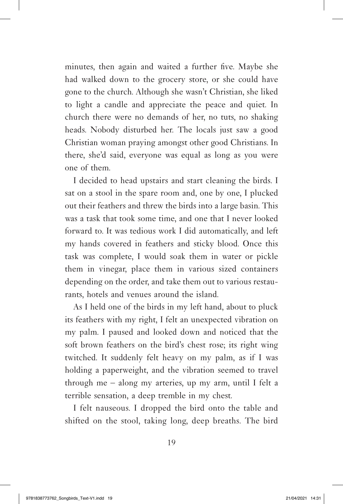minutes, then again and waited a further five. Maybe she had walked down to the grocery store, or she could have gone to the church. Although she wasn't Christian, she liked to light a candle and appreciate the peace and quiet. In church there were no demands of her, no tuts, no shaking heads. Nobody disturbed her. The locals just saw a good Christian woman praying amongst other good Christians. In there, she'd said, everyone was equal as long as you were one of them.

I decided to head upstairs and start cleaning the birds. I sat on a stool in the spare room and, one by one, I plucked out their feathers and threw the birds into a large basin. This was a task that took some time, and one that I never looked forward to. It was tedious work I did automatically, and left my hands covered in feathers and sticky blood. Once this task was complete, I would soak them in water or pickle them in vinegar, place them in various sized containers depending on the order, and take them out to various restaurants, hotels and venues around the island.

As I held one of the birds in my left hand, about to pluck its feathers with my right, I felt an unexpected vibration on my palm. I paused and looked down and noticed that the soft brown feathers on the bird's chest rose; its right wing twitched. It suddenly felt heavy on my palm, as if I was holding a paperweight, and the vibration seemed to travel through me – along my arteries, up my arm, until I felt a terrible sensation, a deep tremble in my chest.

I felt nauseous. I dropped the bird onto the table and shifted on the stool, taking long, deep breaths. The bird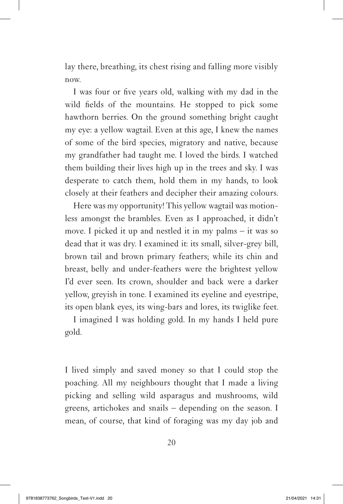lay there, breathing, its chest rising and falling more visibly now.

I was four or five years old, walking with my dad in the wild fields of the mountains. He stopped to pick some hawthorn berries. On the ground something bright caught my eye: a yellow wagtail. Even at this age, I knew the names of some of the bird species, migratory and native, because my grandfather had taught me. I loved the birds. I watched them building their lives high up in the trees and sky. I was desperate to catch them, hold them in my hands, to look closely at their feathers and decipher their amazing colours.

Here was my opportunity! This yellow wagtail was motionless amongst the brambles. Even as I approached, it didn't move. I picked it up and nestled it in my palms – it was so dead that it was dry. I examined it: its small, silver-grey bill, brown tail and brown primary feathers; while its chin and breast, belly and under-feathers were the brightest yellow I'd ever seen. Its crown, shoulder and back were a darker yellow, greyish in tone. I examined its eyeline and eyestripe, its open blank eyes, its wing-bars and lores, its twiglike feet.

I imagined I was holding gold. In my hands I held pure gold.

I lived simply and saved money so that I could stop the poaching. All my neighbours thought that I made a living picking and selling wild asparagus and mushrooms, wild greens, artichokes and snails – depending on the season. I mean, of course, that kind of foraging was my day job and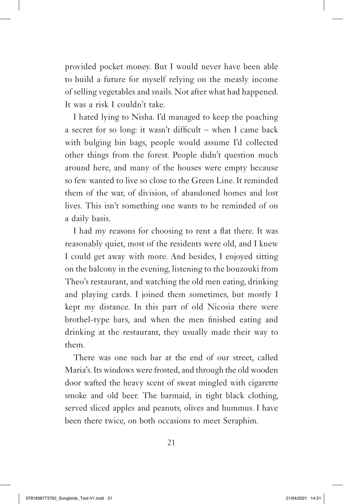provided pocket money. But I would never have been able to build a future for myself relying on the measly income of selling vegetables and snails. Not after what had happened. It was a risk I couldn't take.

I hated lying to Nisha. I'd managed to keep the poaching a secret for so long: it wasn't difficult – when I came back with bulging bin bags, people would assume I'd collected other things from the forest. People didn't question much around here, and many of the houses were empty because so few wanted to live so close to the Green Line. It reminded them of the war, of division, of abandoned homes and lost lives. This isn't something one wants to be reminded of on a daily basis.

I had my reasons for choosing to rent a flat there. It was reasonably quiet, most of the residents were old, and I knew I could get away with more. And besides, I enjoyed sitting on the balcony in the evening, listening to the bouzouki from Theo's restaurant, and watching the old men eating, drinking and playing cards. I joined them sometimes, but mostly I kept my distance. In this part of old Nicosia there were brothel-type bars, and when the men finished eating and drinking at the restaurant, they usually made their way to them.

There was one such bar at the end of our street, called Maria's. Its windows were frosted, and through the old wooden door wafted the heavy scent of sweat mingled with cigarette smoke and old beer. The barmaid, in tight black clothing, served sliced apples and peanuts, olives and hummus. I have been there twice, on both occasions to meet Seraphim.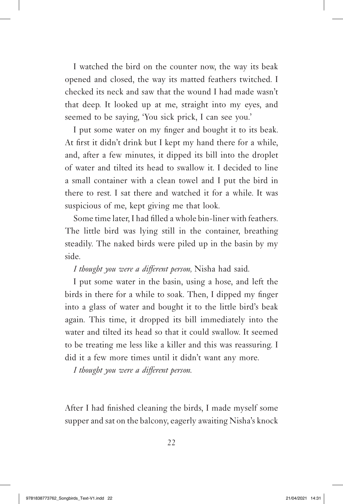I watched the bird on the counter now, the way its beak opened and closed, the way its matted feathers twitched. I checked its neck and saw that the wound I had made wasn't that deep. It looked up at me, straight into my eyes, and seemed to be saying, 'You sick prick, I can see you.'

I put some water on my finger and bought it to its beak. At first it didn't drink but I kept my hand there for a while, and, after a few minutes, it dipped its bill into the droplet of water and tilted its head to swallow it. I decided to line a small container with a clean towel and I put the bird in there to rest. I sat there and watched it for a while. It was suspicious of me, kept giving me that look.

Some time later, I had filled a whole bin-liner with feathers. The little bird was lying still in the container, breathing steadily. The naked birds were piled up in the basin by my side*.* 

*I thought you were a different person,* Nisha had said.

I put some water in the basin, using a hose, and left the birds in there for a while to soak. Then, I dipped my finger into a glass of water and bought it to the little bird's beak again. This time, it dropped its bill immediately into the water and tilted its head so that it could swallow. It seemed to be treating me less like a killer and this was reassuring. I did it a few more times until it didn't want any more.

*I thought you were a different person.* 

After I had finished cleaning the birds, I made myself some supper and sat on the balcony, eagerly awaiting Nisha's knock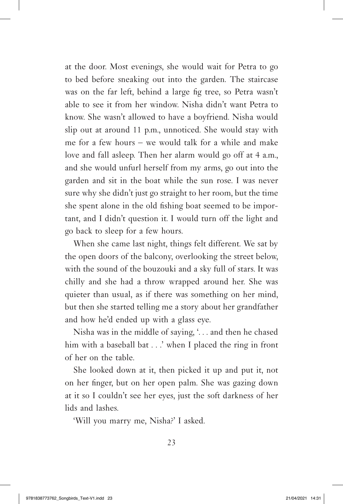at the door. Most evenings, she would wait for Petra to go to bed before sneaking out into the garden. The staircase was on the far left, behind a large fig tree, so Petra wasn't able to see it from her window. Nisha didn't want Petra to know. She wasn't allowed to have a boyfriend. Nisha would slip out at around 11 p.m., unnoticed. She would stay with me for a few hours – we would talk for a while and make love and fall asleep. Then her alarm would go off at 4 a.m., and she would unfurl herself from my arms, go out into the garden and sit in the boat while the sun rose. I was never sure why she didn't just go straight to her room, but the time she spent alone in the old fishing boat seemed to be important, and I didn't question it. I would turn off the light and go back to sleep for a few hours.

When she came last night, things felt different. We sat by the open doors of the balcony, overlooking the street below, with the sound of the bouzouki and a sky full of stars. It was chilly and she had a throw wrapped around her. She was quieter than usual, as if there was something on her mind, but then she started telling me a story about her grandfather and how he'd ended up with a glass eye.

Nisha was in the middle of saying, '... and then he chased him with a baseball bat . . .' when I placed the ring in front of her on the table.

She looked down at it, then picked it up and put it, not on her finger, but on her open palm. She was gazing down at it so I couldn't see her eyes, just the soft darkness of her lids and lashes.

'Will you marry me, Nisha?' I asked.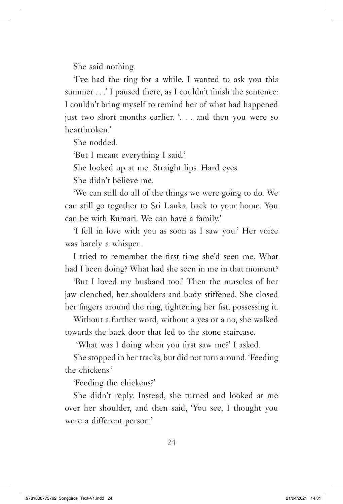She said nothing.

'I've had the ring for a while. I wanted to ask you this summer . . .' I paused there, as I couldn't finish the sentence: I couldn't bring myself to remind her of what had happened just two short months earlier. '. . . and then you were so heartbroken.'

She nodded.

'But I meant everything I said.'

She looked up at me. Straight lips. Hard eyes.

She didn't believe me.

'We can still do all of the things we were going to do. We can still go together to Sri Lanka, back to your home. You can be with Kumari. We can have a family.'

'I fell in love with you as soon as I saw you.' Her voice was barely a whisper.

I tried to remember the first time she'd seen me. What had I been doing? What had she seen in me in that moment?

'But I loved my husband too.' Then the muscles of her jaw clenched, her shoulders and body stiffened. She closed her fingers around the ring, tightening her fist, possessing it.

Without a further word, without a yes or a no, she walked towards the back door that led to the stone staircase.

'What was I doing when you first saw me?' I asked.

She stopped in her tracks, but did not turn around. 'Feeding the chickens.'

'Feeding the chickens?'

She didn't reply. Instead, she turned and looked at me over her shoulder, and then said, 'You see, I thought you were a different person.'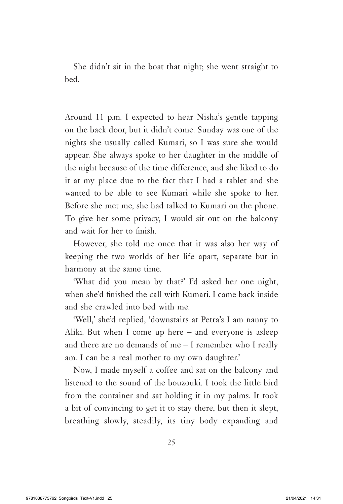She didn't sit in the boat that night; she went straight to bed.

Around 11 p.m. I expected to hear Nisha's gentle tapping on the back door, but it didn't come. Sunday was one of the nights she usually called Kumari, so I was sure she would appear. She always spoke to her daughter in the middle of the night because of the time difference, and she liked to do it at my place due to the fact that I had a tablet and she wanted to be able to see Kumari while she spoke to her. Before she met me, she had talked to Kumari on the phone. To give her some privacy, I would sit out on the balcony and wait for her to finish.

However, she told me once that it was also her way of keeping the two worlds of her life apart, separate but in harmony at the same time.

'What did you mean by that?' I'd asked her one night, when she'd finished the call with Kumari. I came back inside and she crawled into bed with me.

'Well,' she'd replied, 'downstairs at Petra's I am nanny to Aliki. But when I come up here – and everyone is asleep and there are no demands of me – I remember who I really am. I can be a real mother to my own daughter.'

Now, I made myself a coffee and sat on the balcony and listened to the sound of the bouzouki. I took the little bird from the container and sat holding it in my palms. It took a bit of convincing to get it to stay there, but then it slept, breathing slowly, steadily, its tiny body expanding and